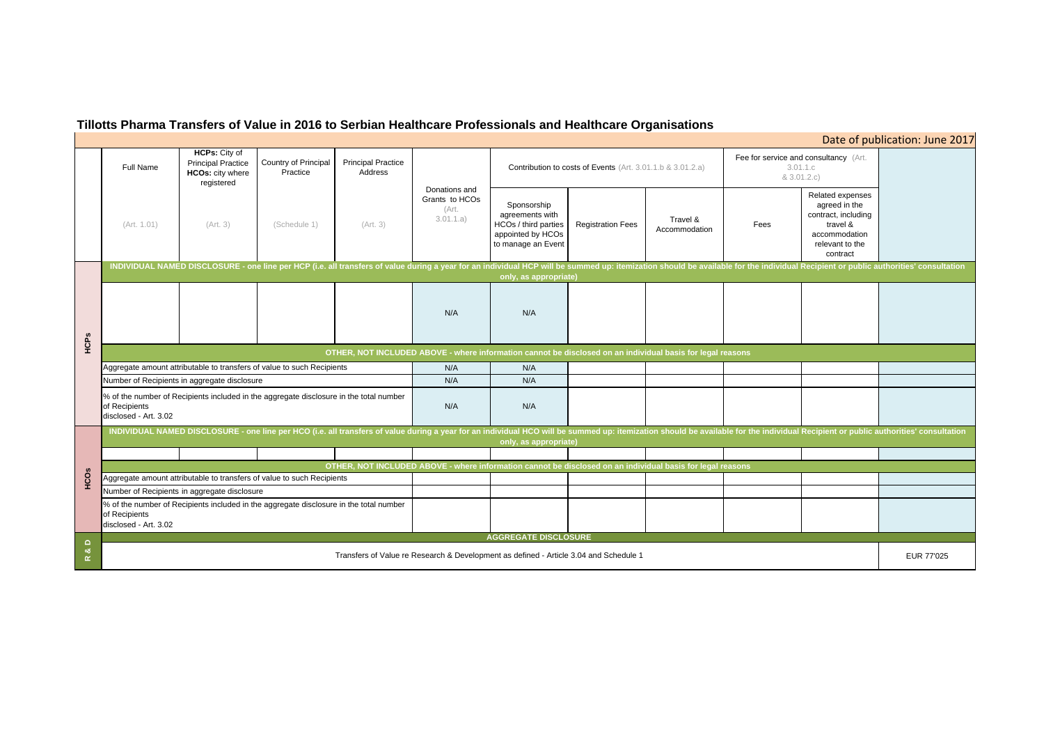# **Tillotts Pharma Transfers of Value in 2016 to Serbian Healthcare Professionals and Healthcare Organisations**

## Full Name**HCPs:** City of Principal Practice **HCOs:** city where registered Country of Principal **Practice** Principal Practice Address(Art. 1.01) (Art. 3) (Schedule 1) (Art. 3) Sponsorship agreements with HCOs / third parties appointed by HCOs to manage an Event Registration Fees Travel & Fees N/A N/AN/A N/A N/A N/AN/A N/A Fee for service  $8<sub>1</sub>$ % of the number of Recipients included in the aggregate disclosure in the total number of Recipients disclosed - Art. 3.02 Aggregate amount attributable to transfers of value to such Recipients INDIVIDUAL NAMED DISCLOSURE - one line per HCO (i.e. all transfers of value during a year for an individual HCO will be summed up: itemization should be available for the individ **only, as appropriate) OTHER, NOT INCLUDED ABOVE - where information cannot be disclosed on an individual basis for legal reasons** Number of Recipients in aggregate disclosure INDIVIDUAL NAMED DISCLOSURE - one line per HCP (i.e. all transfers of value during a year for an individual HCP will be summed up: itemization should be available for the individ **only, as appropriate) AGGREGATE DISCLOSURE** Donations and Grants to HCOs (Art. 3.01.1.a) Contribution to costs of Events (Art. 3.01.1.b & 3.01.2.a) Aggregate amount attributable to transfers of value to such Recipients<br>
Mumber of Recipients in aggregate disclosure<br>
Manumer of Recipients in aggregate disclosure<br>
Manumer of Recipients in aggregate disclosure<br>
of Aschi

Transfers of Value re Research & Development as defined - Article 3.04 and Schedule 1

| Date of publication: June 2017                    |                                                                                                                      |            |
|---------------------------------------------------|----------------------------------------------------------------------------------------------------------------------|------------|
| and consultancy (Art.<br>3.01.1.c<br>3.01.2.c)    |                                                                                                                      |            |
|                                                   | Related expenses<br>agreed in the<br>contract, including<br>travel &<br>accommodation<br>relevant to the<br>contract |            |
| ual Recipient or public authorities' consultation |                                                                                                                      |            |
|                                                   |                                                                                                                      |            |
|                                                   |                                                                                                                      |            |
|                                                   |                                                                                                                      |            |
|                                                   |                                                                                                                      |            |
| ual Recipient or public authorities' consultation |                                                                                                                      |            |
|                                                   |                                                                                                                      |            |
|                                                   |                                                                                                                      |            |
|                                                   |                                                                                                                      |            |
|                                                   |                                                                                                                      |            |
|                                                   |                                                                                                                      | EUR 77'025 |
|                                                   |                                                                                                                      |            |